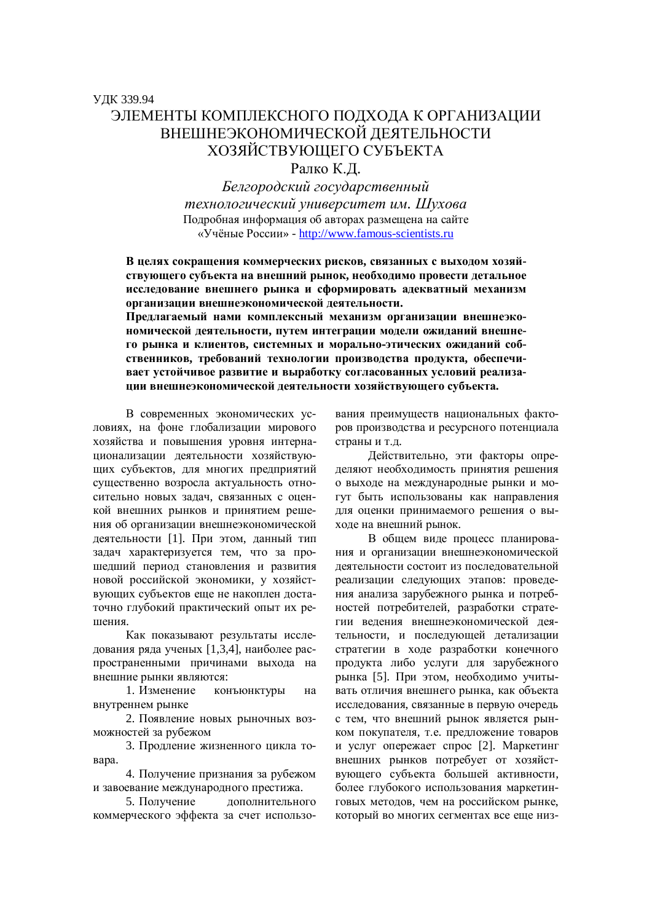ɍȾɄ 339.94

**Белгородский государственный**  $me$ *xнологический университет им. Шухова* Подробная информация об авторах размещена на сайте «Учёные России» - http://www.famous-scientists.ru

ЭЛЕМЕНТЫ КОМПЛЕКСНОГО ПОЛХОЛА К ОРГАНИЗАЦИИ ВНЕШНЕЭКОНОМИЧЕСКОЙ ДЕЯТЕЛЬНОСТИ ХОЗЯЙСТВУЮЩЕГО СУБЪЕКТА Ралко К.Д.

В целях сокращения коммерческих рисков, связанных с выходом хозяйствующего субъекта на внешний рынок, необходимо провести детальное исследование внешнего рынка и сформировать адекватный механизм **• организации внешнеэкономической деятельности.** 

Предлагаемый нами комплексный механизм организации внешнеэко-**НОМИЧЕСКОЙ ДЕЯТЕЛЬНОСТИ, ПУТЕМ ИНТЕГРАЦИИ МОДЕЛИ ОЖИДАНИЙ ВНЕШНЕ**го рынка и клиентов, системных и морально-этических ожиданий собственников, требований технологии производства продукта, обеспечи**вает устойчивое развитие и выработку согласованных условий реализа**ции внешнеэкономической деятельности хозяйствующего субъекта.

В современных экономических условиях, на фоне глобализации мирового хозяйства и повышения уровня интернашионализации леятельности хозяйствующих субъектов, для многих предприятий существенно возросла актуальность относительно новых задач, связанных с оценкой внешних рынков и принятием решения об организации внешнеэкономической деятельности [1]. При этом, данный тип задач характеризуется тем, что за прошедший период становления и развития новой российской экономики, у хозяйствующих субъектов еще не накоплен достаточно глубокий практический опыт их решения.

Как показывают результаты исследования ряда ученых [1,3,4], наиболее распространенными причинами выхода на внешние рынки являются:

1. Изменение конъюнктуры на внутреннем рынке

2. Появление новых рыночных возможностей за рубежом

3. Продление жизненного цикла то-Bapa.

4. Получение признания за рубежом и завоевание международного престижа.

5. Получение дополнительного коммерческого эффекта за счет использования преимуществ национальных факторов производства и ресурсного потенциала страны и т.д.

Действительно, эти факторы определяют необходимость принятия решения о выходе на международные рынки и могүт быть использованы как направления для оценки принимаемого решения о выхоле на внешний рынок.

В общем виде процесс планирования и организации внешнеэкономической деятельности состоит из последовательной реализации следующих этапов: проведения анализа зарубежного рынка и потребностей потребителей, разработки стратегии ведения внешнеэкономической деятельности, и последующей детализации стратегии в ходе разработки конечного продукта либо услуги для зарубежного рынка [5]. При этом, необходимо учитывать отличия внешнего рынка, как объекта исследования, связанные в первую очередь с тем, что внешний рынок является рынком покупателя, т.е. предложение товаров и услуг опережает спрос [2]. Маркетинг внешних рынков потребует от хозяйствующего субъекта большей активности. более глубокого использования маркетинговых методов, чем на российском рынке, который во многих сегментах все еще низ-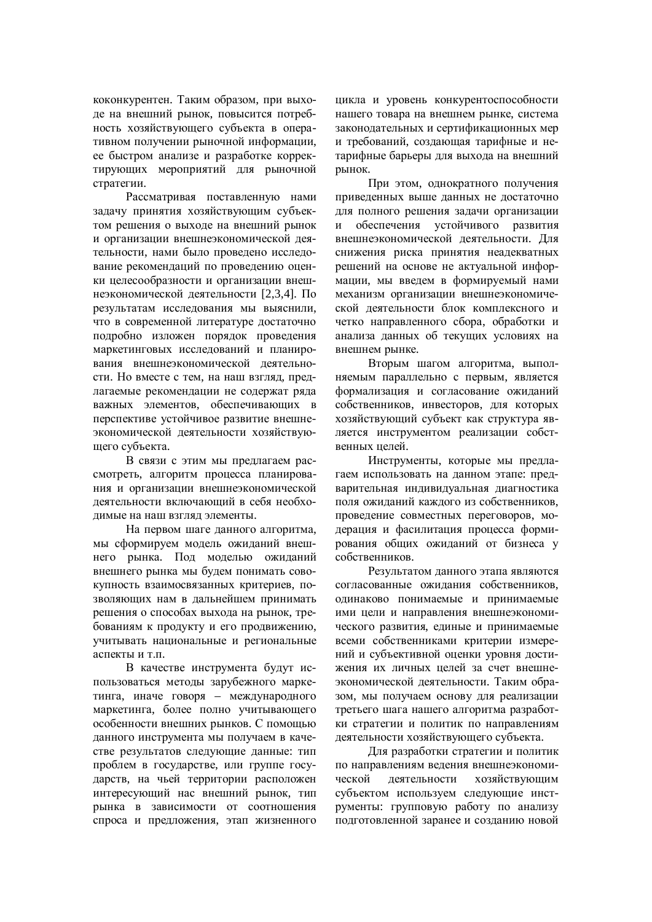коконкурентен. Таким образом, при выходе на внешний рынок, повысится потребность хозяйствующего субъекта в оперативном получении рыночной информации, ее быстром анализе и разработке корректирующих мероприятий для рыночной стратегии.

Рассматривая поставленную нами задачу принятия хозяйствующим субъектом решения о выходе на внешний рынок и организации внешнеэкономической деятельности, нами было проведено исследование рекомендаций по проведению оценки целесообразности и организации внешнеэкономической деятельности [2,3,4]. По результатам исследования мы выяснили. что в современной литературе достаточно подробно изложен порядок проведения маркетинговых исследований и планирования внешнеэкономической деятельности. Но вместе с тем, на наш взгляд, предлагаемые рекомендации не содержат ряда важных элементов, обеспечивающих в перспективе устойчивое развитие внешнеэкономической деятельности хозяйствующего субъекта.

В связи с этим мы предлагаем рассмотреть, алгоритм процесса планирования и организации внешнеэкономической деятельности включающий в себя необходимые на наш взгляд элементы.

На первом шаге данного алгоритма, мы сформируем модель ожиданий внешнего рынка. Под моделью ожиданий внешнего рынка мы будем понимать совокупность взаимосвязанных критериев, позволяющих нам в дальнейшем принимать решения о способах выхода на рынок, требованиям к продукту и его продвижению, учитывать национальные и региональные аспекты и т.п.

В качестве инструмента будут использоваться методы зарубежного маркетинга, иначе говоря – международного маркетинга, более полно учитывающего особенности внешних рынков. С помощью данного инструмента мы получаем в качестве результатов следующие данные: тип проблем в государстве, или группе государств, на чьей территории расположен интересующий нас внешний рынок, тип рынка в зависимости от соотношения спроса и предложения, этап жизненного цикла и уровень конкурентоспособности нашего товара на внешнем рынке, система законолательных и сертификационных мер и требований, создающая тарифные и нетарифные барьеры для выхода на внешний рынок.

При этом, однократного получения приведенных выше данных не достаточно для полного решения задачи организации и обеспечения устойчивого развития внешнеэкономической деятельности. Для снижения риска принятия неадекватных решений на основе не актуальной информации, мы введем в формируемый нами механизм организации внешнеэкономической деятельности блок комплексного и четко направленного сбора, обработки и анализа данных об текущих условиях на внешнем рынке.

Вторым шагом алгоритма, выполняемым параллельно с первым, является формализания и согласование ожиланий собственников, инвесторов, для которых хозяйствующий субъект как структура является инструментом реализации собственных пелей.

Инструменты, которые мы предлагаем использовать на данном этапе: предварительная индивидуальная диагностика поля ожиданий каждого из собственников, проведение совместных переговоров, модерация и фасилитация процесса формирования общих ожиданий от бизнеса у собственников.

Результатом данного этапа являются согласованные ожидания собственников, одинаково понимаемые и принимаемые ими цели и направления внешнеэкономического развития, единые и принимаемые всеми собственниками критерии измерений и субъективной оценки уровня достижения их личных пелей за счет внешнеэкономической деятельности. Таким образом, мы получаем основу для реализации третьего шага нашего алгоритма разработки стратегии и политик по направлениям деятельности хозяйствующего субъекта.

Для разработки стратегии и политик по направлениям веления внешнеэкономической деятельности хозяйствующим субъектом используем следующие инструменты: групповую работу по анализу подготовленной заранее и созданию новой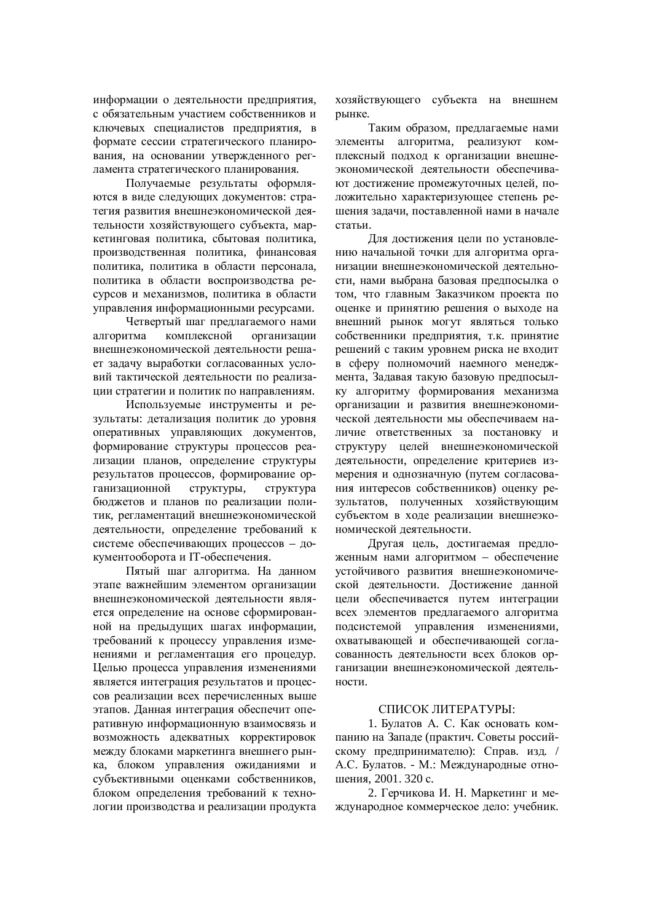информации о деятельности предприятия, с обязательным участием собственников и ключевых специалистов прелприятия, в формате сессии стратегического планирования, на основании утвержденного регламента стратегического планирования.

Получаемые результаты оформляются в виде следующих документов: стратегия развития внешнеэкономической деятельности хозяйствующего субъекта, маркетинговая политика, сбытовая политика, производственная политика, финансовая политика, политика в области персонала, политика в области воспроизводства ресурсов и механизмов, политика в области управления информационными ресурсами.

Четвертый шаг предлагаемого нами алгоритма комплексной организации внешнеэкономической деятельности решает задачу выработки согласованных условий тактической деятельности по реализации стратегии и политик по направлениям.

Используемые инструменты и результаты: детализация политик до уровня оперативных управляющих документов, формирование структуры процессов реализации планов, определение структуры результатов процессов, формирование организационной структуры, структура бюджетов и планов по реализации политик, регламентаций внешнеэкономической деятельности, определение требований к аистеме обеспечивающих процессов – документооборота и IT-обеспечения.

Пятый шаг алгоритма. На данном этапе важнейшим элементом организации внешнеэкономической деятельности является определение на основе сформированной на предыдущих шагах информации, требований к процессу управления изменениями и регламентация его процедур. Целью процесса управления изменениями является интеграция результатов и процессов реализации всех перечисленных выше этапов. Данная интеграция обеспечит оперативную информационную взаимосвязь и возможность адекватных корректировок между блоками маркетинга внешнего рынка, блоком управления ожиланиями и субъективными оценками собственников. блоком определения требований к технологии производства и реализации продукта хозяйствующего субъекта на внешнем рынке.

Таким образом, предлагаемые нами элементы алгоритма, реализуют комплексный подход к организации внешнеэкономической деятельности обеспечивают достижение промежуточных целей, положительно характеризующее степень решения задачи, поставленной нами в начале статьи.

Для достижения цели по установлению начальной точки для алгоритма организации внешнеэкономической деятельности, нами выбрана базовая предпосылка о том, что главным Заказчиком проекта по оценке и принятию решения о выходе на внешний рынок могут являться только собственники предприятия, т.к. принятие решений с таким уровнем риска не входит в сферу полномочий наемного менеджмента, Задавая такую базовую предпосылку алгоритму формирования механизма организации и развития внешнеэкономической леятельности мы обеспечиваем наличие ответственных за постановку и структуру целей внешнеэкономической деятельности, определение критериев измерения и однозначную (путем согласования интересов собственников) оценку результатов, полученных хозяйствующим субъектом в ходе реализации внешнеэкономической деятельности.

Другая цель, достигаемая предложенным нами алгоритмом – обеспечение устойчивого развития внешнеэкономической деятельности. Достижение данной цели обеспечивается путем интеграции всех элементов предлагаемого алгоритма подсистемой управления изменениями, охватывающей и обеспечивающей согласованность деятельности всех блоков организации внешнеэкономической деятельности.

## СПИСОК ЛИТЕРАТУРЫ:

1. Булатов А. С. Как основать компанию на Западе (практич. Советы российскому предпринимателю): Справ. изд. / А.С. Булатов. - М.: Международные отношения. 2001. 320 с.

2. Герчикова И. Н. Маркетинг и международное коммерческое дело: учебник.